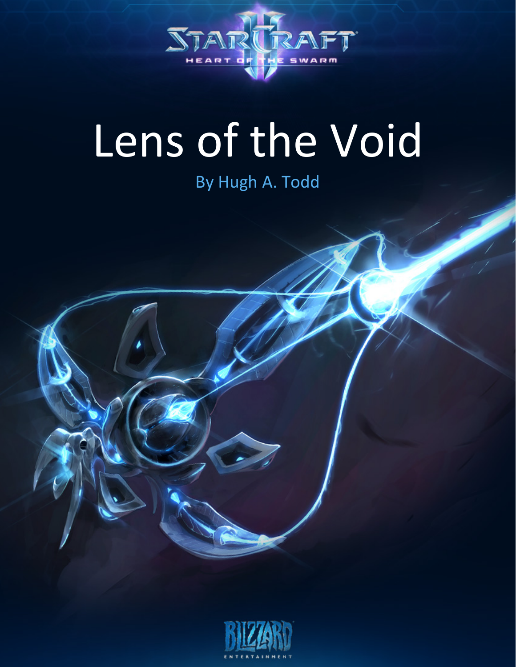

## Lens of the Void

## By Hugh A. Todd

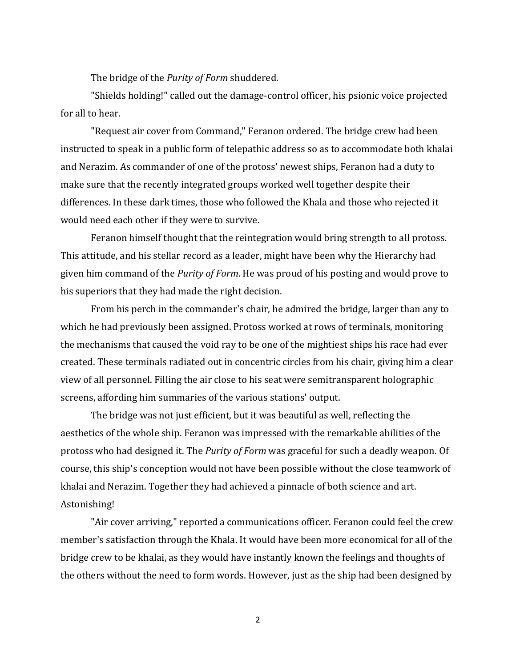The bridge of the *Purity of Form* shuddered.

"Shields holding!" called out the damage-control officer, his psionic voice projected for all to hear.

"Request air cover from Command," Feranon ordered. The bridge crew had been instructed to speak in a public form of telepathic address so as to accommodate both khalai and Nerazim. As commander of one of the protoss' newest ships, Feranon had a duty to make sure that the recently integrated groups worked well together despite their differences. In these dark times, those who followed the Khala and those who rejected it would need each other if they were to survive.

Feranon himself thought that the reintegration would bring strength to all protoss. This attitude, and his stellar record as a leader, might have been why the Hierarchy had given him command of the *Purity of Form*. He was proud of his posting and would prove to his superiors that they had made the right decision.

From his perch in the commander's chair, he admired the bridge, larger than any to which he had previously been assigned. Protoss worked at rows of terminals, monitoring the mechanisms that caused the void ray to be one of the mightiest ships his race had ever created. These terminals radiated out in concentric circles from his chair, giving him a clear view of all personnel. Filling the air close to his seat were semitransparent holographic screens, affording him summaries of the various stations' output.

The bridge was not just efficient, but it was beautiful as well, reflecting the aesthetics of the whole ship. Feranon was impressed with the remarkable abilities of the protoss who had designed it. The *Purity of Form* was graceful for such a deadly weapon. Of course, this ship's conception would not have been possible without the close teamwork of khalai and Nerazim. Together they had achieved a pinnacle of both science and art. Astonishing!

"Air cover arriving," reported a communications officer. Feranon could feel the crew member's satisfaction through the Khala. It would have been more economical for all of the bridge crew to be khalai, as they would have instantly known the feelings and thoughts of the others without the need to form words. However, just as the ship had been designed by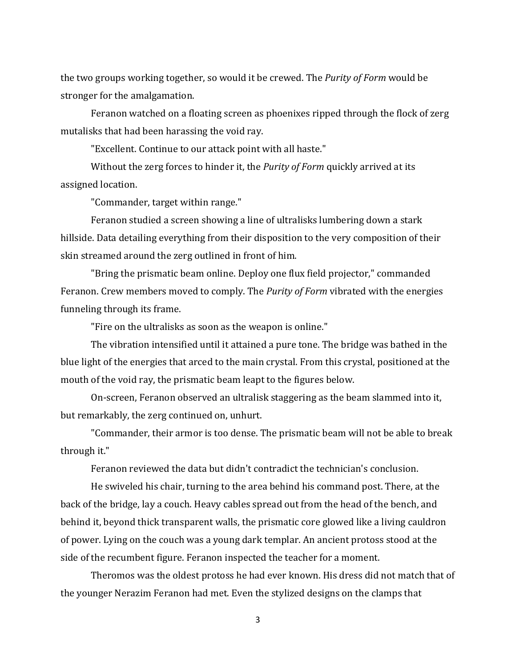the two groups working together, so would it be crewed. The *Purity of Form* would be stronger for the amalgamation.

Feranon watched on a floating screen as phoenixes ripped through the flock of zerg mutalisks that had been harassing the void ray.

"Excellent. Continue to our attack point with all haste."

Without the zerg forces to hinder it, the *Purity of Form* quickly arrived at its assigned location.

"Commander, target within range."

Feranon studied a screen showing a line of ultralisks lumbering down a stark hillside. Data detailing everything from their disposition to the very composition of their skin streamed around the zerg outlined in front of him.

"Bring the prismatic beam online. Deploy one flux field projector," commanded Feranon. Crew members moved to comply. The *Purity of Form* vibrated with the energies funneling through its frame.

"Fire on the ultralisks as soon as the weapon is online."

The vibration intensified until it attained a pure tone. The bridge was bathed in the blue light of the energies that arced to the main crystal. From this crystal, positioned at the mouth of the void ray, the prismatic beam leapt to the figures below.

On-screen, Feranon observed an ultralisk staggering as the beam slammed into it, but remarkably, the zerg continued on, unhurt.

"Commander, their armor is too dense. The prismatic beam will not be able to break through it."

Feranon reviewed the data but didn't contradict the technician's conclusion.

He swiveled his chair, turning to the area behind his command post. There, at the back of the bridge, lay a couch. Heavy cables spread out from the head of the bench, and behind it, beyond thick transparent walls, the prismatic core glowed like a living cauldron of power. Lying on the couch was a young dark templar. An ancient protoss stood at the side of the recumbent figure. Feranon inspected the teacher for a moment.

Theromos was the oldest protoss he had ever known. His dress did not match that of the younger Nerazim Feranon had met. Even the stylized designs on the clamps that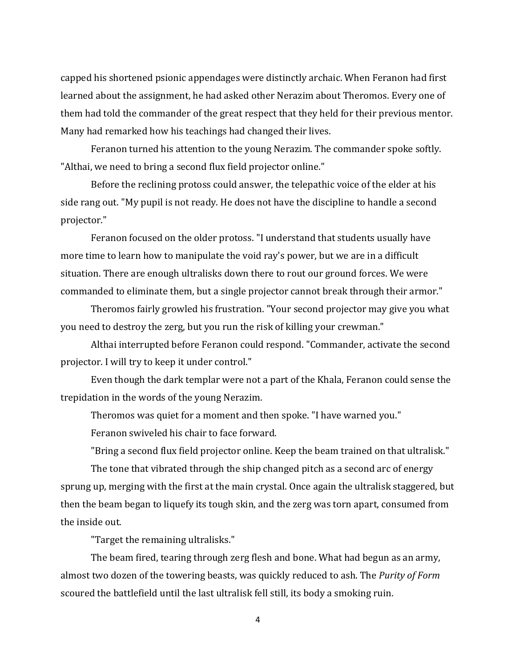capped his shortened psionic appendages were distinctly archaic. When Feranon had first learned about the assignment, he had asked other Nerazim about Theromos. Every one of them had told the commander of the great respect that they held for their previous mentor. Many had remarked how his teachings had changed their lives.

Feranon turned his attention to the young Nerazim. The commander spoke softly. "Althai, we need to bring a second flux field projector online."

Before the reclining protoss could answer, the telepathic voice of the elder at his side rang out. "My pupil is not ready. He does not have the discipline to handle a second projector."

Feranon focused on the older protoss. "I understand that students usually have more time to learn how to manipulate the void ray's power, but we are in a difficult situation. There are enough ultralisks down there to rout our ground forces. We were commanded to eliminate them, but a single projector cannot break through their armor."

Theromos fairly growled his frustration. "Your second projector may give you what you need to destroy the zerg, but you run the risk of killing your crewman."

Althai interrupted before Feranon could respond. "Commander, activate the second projector. I will try to keep it under control."

Even though the dark templar were not a part of the Khala, Feranon could sense the trepidation in the words of the young Nerazim.

Theromos was quiet for a moment and then spoke. "I have warned you."

Feranon swiveled his chair to face forward.

"Bring a second flux field projector online. Keep the beam trained on that ultralisk."

The tone that vibrated through the ship changed pitch as a second arc of energy sprung up, merging with the first at the main crystal. Once again the ultralisk staggered, but then the beam began to liquefy its tough skin, and the zerg was torn apart, consumed from the inside out.

"Target the remaining ultralisks."

The beam fired, tearing through zerg flesh and bone. What had begun as an army, almost two dozen of the towering beasts, was quickly reduced to ash. The *Purity of Form* scoured the battlefield until the last ultralisk fell still, its body a smoking ruin.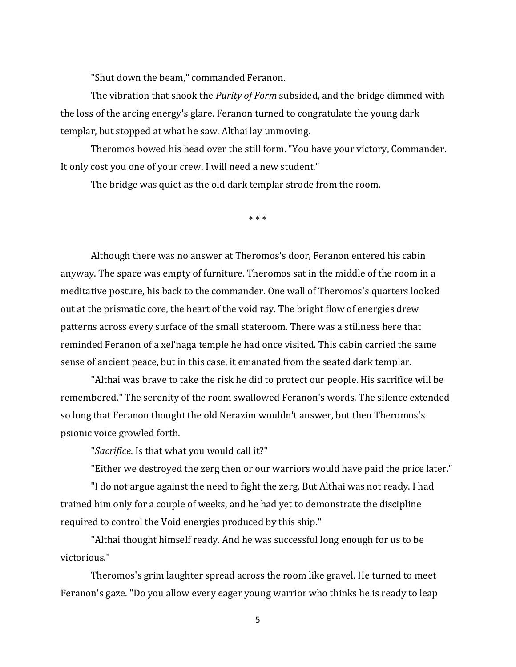"Shut down the beam," commanded Feranon.

The vibration that shook the *Purity of Form* subsided, and the bridge dimmed with the loss of the arcing energy's glare. Feranon turned to congratulate the young dark templar, but stopped at what he saw. Althai lay unmoving.

Theromos bowed his head over the still form. "You have your victory, Commander. It only cost you one of your crew. I will need a new student."

The bridge was quiet as the old dark templar strode from the room.

\* \* \*

Although there was no answer at Theromos's door, Feranon entered his cabin anyway. The space was empty of furniture. Theromos sat in the middle of the room in a meditative posture, his back to the commander. One wall of Theromos's quarters looked out at the prismatic core, the heart of the void ray. The bright flow of energies drew patterns across every surface of the small stateroom. There was a stillness here that reminded Feranon of a xel'naga temple he had once visited. This cabin carried the same sense of ancient peace, but in this case, it emanated from the seated dark templar.

"Althai was brave to take the risk he did to protect our people. His sacrifice will be remembered." The serenity of the room swallowed Feranon's words. The silence extended so long that Feranon thought the old Nerazim wouldn't answer, but then Theromos's psionic voice growled forth.

"*Sacrifice*. Is that what you would call it?"

"Either we destroyed the zerg then or our warriors would have paid the price later."

"I do not argue against the need to fight the zerg. But Althai was not ready. I had trained him only for a couple of weeks, and he had yet to demonstrate the discipline required to control the Void energies produced by this ship."

"Althai thought himself ready. And he was successful long enough for us to be victorious."

Theromos's grim laughter spread across the room like gravel. He turned to meet Feranon's gaze. "Do you allow every eager young warrior who thinks he is ready to leap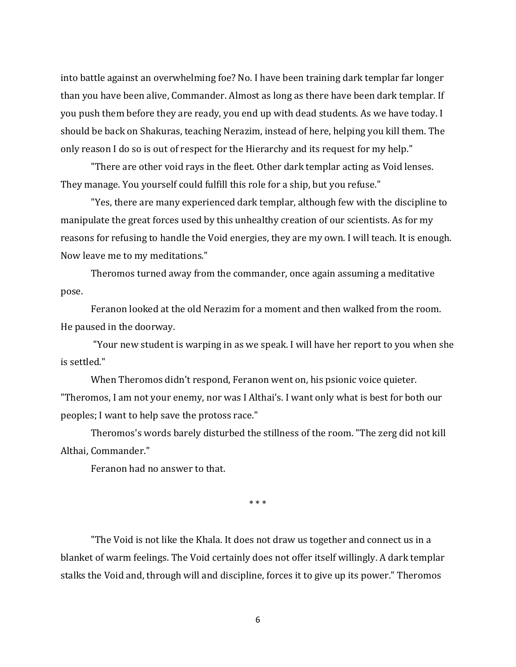into battle against an overwhelming foe? No. I have been training dark templar far longer than you have been alive, Commander. Almost as long as there have been dark templar. If you push them before they are ready, you end up with dead students. As we have today. I should be back on Shakuras, teaching Nerazim, instead of here, helping you kill them. The only reason I do so is out of respect for the Hierarchy and its request for my help."

"There are other void rays in the fleet. Other dark templar acting as Void lenses. They manage. You yourself could fulfill this role for a ship, but you refuse."

"Yes, there are many experienced dark templar, although few with the discipline to manipulate the great forces used by this unhealthy creation of our scientists. As for my reasons for refusing to handle the Void energies, they are my own. I will teach. It is enough. Now leave me to my meditations."

Theromos turned away from the commander, once again assuming a meditative pose.

Feranon looked at the old Nerazim for a moment and then walked from the room. He paused in the doorway.

"Your new student is warping in as we speak. I will have her report to you when she is settled."

When Theromos didn't respond, Feranon went on, his psionic voice quieter. "Theromos, I am not your enemy, nor was I Althai's. I want only what is best for both our peoples; I want to help save the protoss race."

Theromos's words barely disturbed the stillness of the room. "The zerg did not kill Althai, Commander."

Feranon had no answer to that.

\* \* \*

"The Void is not like the Khala. It does not draw us together and connect us in a blanket of warm feelings. The Void certainly does not offer itself willingly. A dark templar stalks the Void and, through will and discipline, forces it to give up its power." Theromos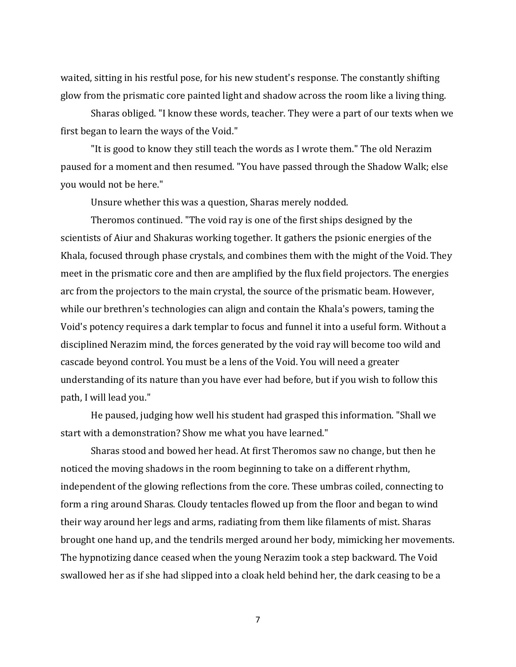waited, sitting in his restful pose, for his new student's response. The constantly shifting glow from the prismatic core painted light and shadow across the room like a living thing.

Sharas obliged. "I know these words, teacher. They were a part of our texts when we first began to learn the ways of the Void."

"It is good to know they still teach the words as I wrote them." The old Nerazim paused for a moment and then resumed. "You have passed through the Shadow Walk; else you would not be here."

Unsure whether this was a question, Sharas merely nodded.

Theromos continued. "The void ray is one of the first ships designed by the scientists of Aiur and Shakuras working together. It gathers the psionic energies of the Khala, focused through phase crystals, and combines them with the might of the Void. They meet in the prismatic core and then are amplified by the flux field projectors. The energies arc from the projectors to the main crystal, the source of the prismatic beam. However, while our brethren's technologies can align and contain the Khala's powers, taming the Void's potency requires a dark templar to focus and funnel it into a useful form. Without a disciplined Nerazim mind, the forces generated by the void ray will become too wild and cascade beyond control. You must be a lens of the Void. You will need a greater understanding of its nature than you have ever had before, but if you wish to follow this path, I will lead you."

He paused, judging how well his student had grasped this information. "Shall we start with a demonstration? Show me what you have learned."

Sharas stood and bowed her head. At first Theromos saw no change, but then he noticed the moving shadows in the room beginning to take on a different rhythm, independent of the glowing reflections from the core. These umbras coiled, connecting to form a ring around Sharas. Cloudy tentacles flowed up from the floor and began to wind their way around her legs and arms, radiating from them like filaments of mist. Sharas brought one hand up, and the tendrils merged around her body, mimicking her movements. The hypnotizing dance ceased when the young Nerazim took a step backward. The Void swallowed her as if she had slipped into a cloak held behind her, the dark ceasing to be a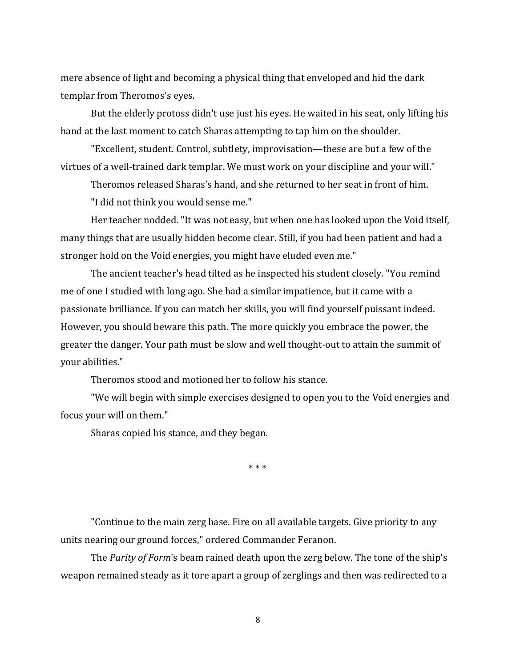mere absence of light and becoming a physical thing that enveloped and hid the dark templar from Theromos's eyes.

But the elderly protoss didn't use just his eyes. He waited in his seat, only lifting his hand at the last moment to catch Sharas attempting to tap him on the shoulder.

"Excellent, student. Control, subtlety, improvisation—these are but a few of the virtues of a well-trained dark templar. We must work on your discipline and your will."

Theromos released Sharas's hand, and she returned to her seat in front of him.

"I did not think you would sense me."

Her teacher nodded. "It was not easy, but when one has looked upon the Void itself, many things that are usually hidden become clear. Still, if you had been patient and had a stronger hold on the Void energies, you might have eluded even me."

The ancient teacher's head tilted as he inspected his student closely. "You remind me of one I studied with long ago. She had a similar impatience, but it came with a passionate brilliance. If you can match her skills, you will find yourself puissant indeed. However, you should beware this path. The more quickly you embrace the power, the greater the danger. Your path must be slow and well thought-out to attain the summit of your abilities."

Theromos stood and motioned her to follow his stance.

"We will begin with simple exercises designed to open you to the Void energies and focus your will on them."

Sharas copied his stance, and they began.

\* \* \*

"Continue to the main zerg base. Fire on all available targets. Give priority to any units nearing our ground forces," ordered Commander Feranon.

The *Purity of Form*'s beam rained death upon the zerg below. The tone of the ship's weapon remained steady as it tore apart a group of zerglings and then was redirected to a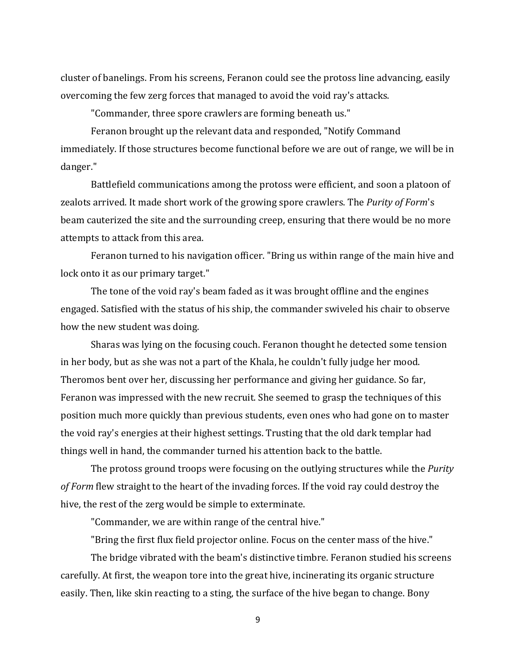cluster of banelings. From his screens, Feranon could see the protoss line advancing, easily overcoming the few zerg forces that managed to avoid the void ray's attacks.

"Commander, three spore crawlers are forming beneath us."

Feranon brought up the relevant data and responded, "Notify Command immediately. If those structures become functional before we are out of range, we will be in danger."

Battlefield communications among the protoss were efficient, and soon a platoon of zealots arrived. It made short work of the growing spore crawlers. The *Purity of Form*'s beam cauterized the site and the surrounding creep, ensuring that there would be no more attempts to attack from this area.

Feranon turned to his navigation officer. "Bring us within range of the main hive and lock onto it as our primary target."

The tone of the void ray's beam faded as it was brought offline and the engines engaged. Satisfied with the status of his ship, the commander swiveled his chair to observe how the new student was doing.

Sharas was lying on the focusing couch. Feranon thought he detected some tension in her body, but as she was not a part of the Khala, he couldn't fully judge her mood. Theromos bent over her, discussing her performance and giving her guidance. So far, Feranon was impressed with the new recruit. She seemed to grasp the techniques of this position much more quickly than previous students, even ones who had gone on to master the void ray's energies at their highest settings. Trusting that the old dark templar had things well in hand, the commander turned his attention back to the battle.

The protoss ground troops were focusing on the outlying structures while the *Purity of Form* flew straight to the heart of the invading forces. If the void ray could destroy the hive, the rest of the zerg would be simple to exterminate.

"Commander, we are within range of the central hive."

"Bring the first flux field projector online. Focus on the center mass of the hive."

The bridge vibrated with the beam's distinctive timbre. Feranon studied his screens carefully. At first, the weapon tore into the great hive, incinerating its organic structure easily. Then, like skin reacting to a sting, the surface of the hive began to change. Bony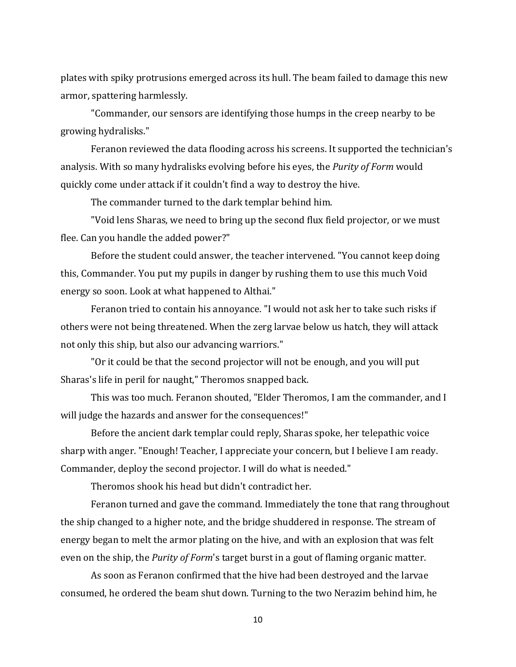plates with spiky protrusions emerged across its hull. The beam failed to damage this new armor, spattering harmlessly.

"Commander, our sensors are identifying those humps in the creep nearby to be growing hydralisks."

Feranon reviewed the data flooding across his screens. It supported the technician's analysis. With so many hydralisks evolving before his eyes, the *Purity of Form* would quickly come under attack if it couldn't find a way to destroy the hive.

The commander turned to the dark templar behind him.

"Void lens Sharas, we need to bring up the second flux field projector, or we must flee. Can you handle the added power?"

Before the student could answer, the teacher intervened. "You cannot keep doing this, Commander. You put my pupils in danger by rushing them to use this much Void energy so soon. Look at what happened to Althai."

Feranon tried to contain his annoyance. "I would not ask her to take such risks if others were not being threatened. When the zerg larvae below us hatch, they will attack not only this ship, but also our advancing warriors."

"Or it could be that the second projector will not be enough, and you will put Sharas's life in peril for naught," Theromos snapped back.

This was too much. Feranon shouted, "Elder Theromos, I am the commander, and I will judge the hazards and answer for the consequences!"

Before the ancient dark templar could reply, Sharas spoke, her telepathic voice sharp with anger. "Enough! Teacher, I appreciate your concern, but I believe I am ready. Commander, deploy the second projector. I will do what is needed."

Theromos shook his head but didn't contradict her.

Feranon turned and gave the command. Immediately the tone that rang throughout the ship changed to a higher note, and the bridge shuddered in response. The stream of energy began to melt the armor plating on the hive, and with an explosion that was felt even on the ship, the *Purity of Form*'s target burst in a gout of flaming organic matter.

As soon as Feranon confirmed that the hive had been destroyed and the larvae consumed, he ordered the beam shut down. Turning to the two Nerazim behind him, he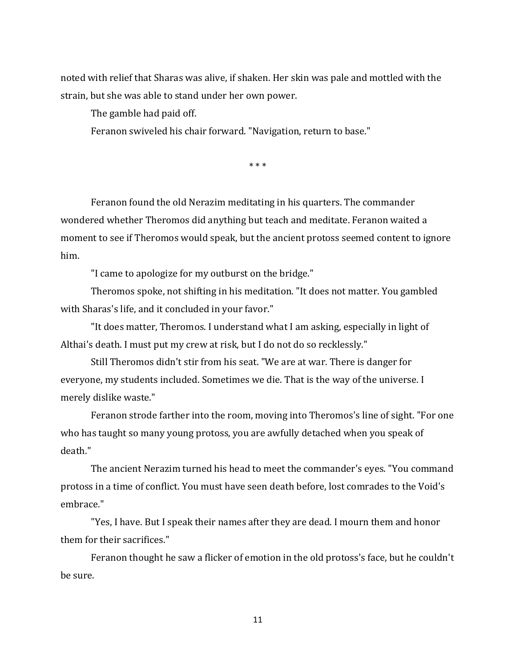noted with relief that Sharas was alive, if shaken. Her skin was pale and mottled with the strain, but she was able to stand under her own power.

The gamble had paid off.

Feranon swiveled his chair forward. "Navigation, return to base."

\* \* \*

Feranon found the old Nerazim meditating in his quarters. The commander wondered whether Theromos did anything but teach and meditate. Feranon waited a moment to see if Theromos would speak, but the ancient protoss seemed content to ignore him.

"I came to apologize for my outburst on the bridge."

Theromos spoke, not shifting in his meditation. "It does not matter. You gambled with Sharas's life, and it concluded in your favor."

"It does matter, Theromos. I understand what I am asking, especially in light of Althai's death. I must put my crew at risk, but I do not do so recklessly."

Still Theromos didn't stir from his seat. "We are at war. There is danger for everyone, my students included. Sometimes we die. That is the way of the universe. I merely dislike waste."

Feranon strode farther into the room, moving into Theromos's line of sight. "For one who has taught so many young protoss, you are awfully detached when you speak of death."

The ancient Nerazim turned his head to meet the commander's eyes. "You command protoss in a time of conflict. You must have seen death before, lost comrades to the Void's embrace."

"Yes, I have. But I speak their names after they are dead. I mourn them and honor them for their sacrifices."

Feranon thought he saw a flicker of emotion in the old protoss's face, but he couldn't be sure.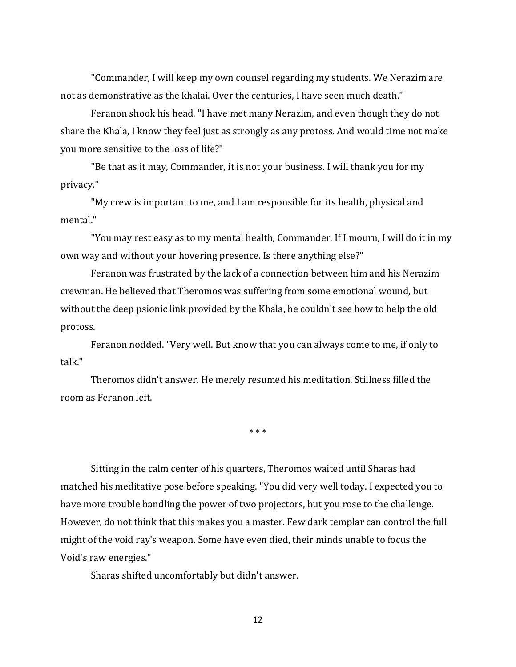"Commander, I will keep my own counsel regarding my students. We Nerazim are not as demonstrative as the khalai. Over the centuries, I have seen much death."

Feranon shook his head. "I have met many Nerazim, and even though they do not share the Khala, I know they feel just as strongly as any protoss. And would time not make you more sensitive to the loss of life?"

"Be that as it may, Commander, it is not your business. I will thank you for my privacy."

"My crew is important to me, and I am responsible for its health, physical and mental."

"You may rest easy as to my mental health, Commander. If I mourn, I will do it in my own way and without your hovering presence. Is there anything else?"

Feranon was frustrated by the lack of a connection between him and his Nerazim crewman. He believed that Theromos was suffering from some emotional wound, but without the deep psionic link provided by the Khala, he couldn't see how to help the old protoss.

Feranon nodded. "Very well. But know that you can always come to me, if only to talk."

Theromos didn't answer. He merely resumed his meditation. Stillness filled the room as Feranon left.

\* \* \*

Sitting in the calm center of his quarters, Theromos waited until Sharas had matched his meditative pose before speaking. "You did very well today. I expected you to have more trouble handling the power of two projectors, but you rose to the challenge. However, do not think that this makes you a master. Few dark templar can control the full might of the void ray's weapon. Some have even died, their minds unable to focus the Void's raw energies."

Sharas shifted uncomfortably but didn't answer.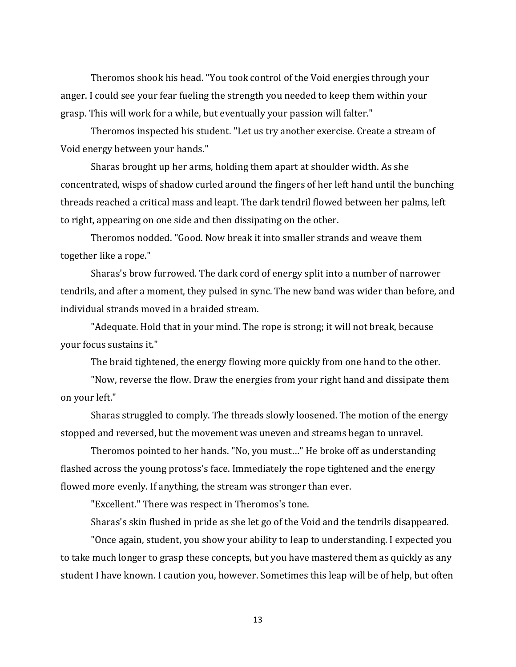Theromos shook his head. "You took control of the Void energies through your anger. I could see your fear fueling the strength you needed to keep them within your grasp. This will work for a while, but eventually your passion will falter."

Theromos inspected his student. "Let us try another exercise. Create a stream of Void energy between your hands."

Sharas brought up her arms, holding them apart at shoulder width. As she concentrated, wisps of shadow curled around the fingers of her left hand until the bunching threads reached a critical mass and leapt. The dark tendril flowed between her palms, left to right, appearing on one side and then dissipating on the other.

Theromos nodded. "Good. Now break it into smaller strands and weave them together like a rope."

Sharas's brow furrowed. The dark cord of energy split into a number of narrower tendrils, and after a moment, they pulsed in sync. The new band was wider than before, and individual strands moved in a braided stream.

"Adequate. Hold that in your mind. The rope is strong; it will not break, because your focus sustains it."

The braid tightened, the energy flowing more quickly from one hand to the other.

"Now, reverse the flow. Draw the energies from your right hand and dissipate them on your left."

Sharas struggled to comply. The threads slowly loosened. The motion of the energy stopped and reversed, but the movement was uneven and streams began to unravel.

Theromos pointed to her hands. "No, you must…" He broke off as understanding flashed across the young protoss's face. Immediately the rope tightened and the energy flowed more evenly. If anything, the stream was stronger than ever.

"Excellent." There was respect in Theromos's tone.

Sharas's skin flushed in pride as she let go of the Void and the tendrils disappeared.

"Once again, student, you show your ability to leap to understanding. I expected you to take much longer to grasp these concepts, but you have mastered them as quickly as any student I have known. I caution you, however. Sometimes this leap will be of help, but often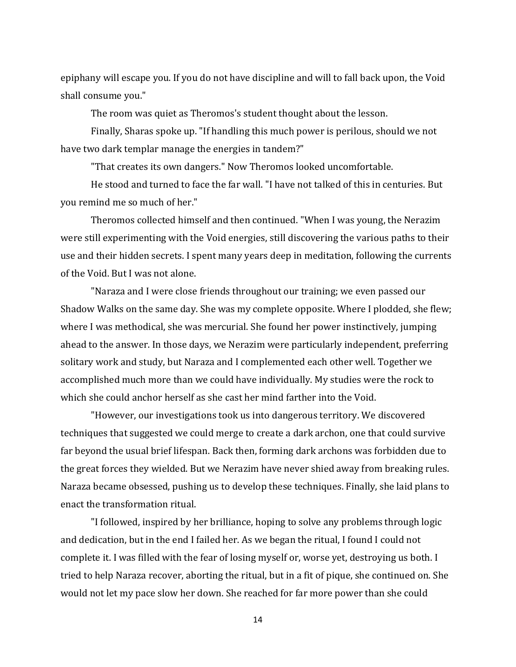epiphany will escape you. If you do not have discipline and will to fall back upon, the Void shall consume you."

The room was quiet as Theromos's student thought about the lesson.

Finally, Sharas spoke up. "If handling this much power is perilous, should we not have two dark templar manage the energies in tandem?"

"That creates its own dangers." Now Theromos looked uncomfortable.

He stood and turned to face the far wall. "I have not talked of this in centuries. But you remind me so much of her."

Theromos collected himself and then continued. "When I was young, the Nerazim were still experimenting with the Void energies, still discovering the various paths to their use and their hidden secrets. I spent many years deep in meditation, following the currents of the Void. But I was not alone.

"Naraza and I were close friends throughout our training; we even passed our Shadow Walks on the same day. She was my complete opposite. Where I plodded, she flew; where I was methodical, she was mercurial. She found her power instinctively, jumping ahead to the answer. In those days, we Nerazim were particularly independent, preferring solitary work and study, but Naraza and I complemented each other well. Together we accomplished much more than we could have individually. My studies were the rock to which she could anchor herself as she cast her mind farther into the Void.

"However, our investigations took us into dangerous territory. We discovered techniques that suggested we could merge to create a dark archon, one that could survive far beyond the usual brief lifespan. Back then, forming dark archons was forbidden due to the great forces they wielded. But we Nerazim have never shied away from breaking rules. Naraza became obsessed, pushing us to develop these techniques. Finally, she laid plans to enact the transformation ritual.

"I followed, inspired by her brilliance, hoping to solve any problems through logic and dedication, but in the end I failed her. As we began the ritual, I found I could not complete it. I was filled with the fear of losing myself or, worse yet, destroying us both. I tried to help Naraza recover, aborting the ritual, but in a fit of pique, she continued on. She would not let my pace slow her down. She reached for far more power than she could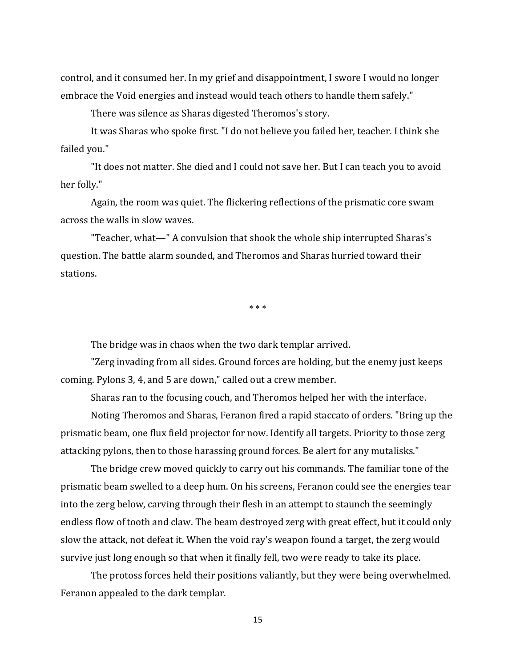control, and it consumed her. In my grief and disappointment, I swore I would no longer embrace the Void energies and instead would teach others to handle them safely."

There was silence as Sharas digested Theromos's story.

It was Sharas who spoke first. "I do not believe you failed her, teacher. I think she failed you."

"It does not matter. She died and I could not save her. But I can teach you to avoid her folly."

Again, the room was quiet. The flickering reflections of the prismatic core swam across the walls in slow waves.

"Teacher, what—" A convulsion that shook the whole ship interrupted Sharas's question. The battle alarm sounded, and Theromos and Sharas hurried toward their stations.

\* \* \*

The bridge was in chaos when the two dark templar arrived.

"Zerg invading from all sides. Ground forces are holding, but the enemy just keeps coming. Pylons 3, 4, and 5 are down," called out a crew member.

Sharas ran to the focusing couch, and Theromos helped her with the interface.

Noting Theromos and Sharas, Feranon fired a rapid staccato of orders. "Bring up the prismatic beam, one flux field projector for now. Identify all targets. Priority to those zerg attacking pylons, then to those harassing ground forces. Be alert for any mutalisks."

The bridge crew moved quickly to carry out his commands. The familiar tone of the prismatic beam swelled to a deep hum. On his screens, Feranon could see the energies tear into the zerg below, carving through their flesh in an attempt to staunch the seemingly endless flow of tooth and claw. The beam destroyed zerg with great effect, but it could only slow the attack, not defeat it. When the void ray's weapon found a target, the zerg would survive just long enough so that when it finally fell, two were ready to take its place.

The protoss forces held their positions valiantly, but they were being overwhelmed. Feranon appealed to the dark templar.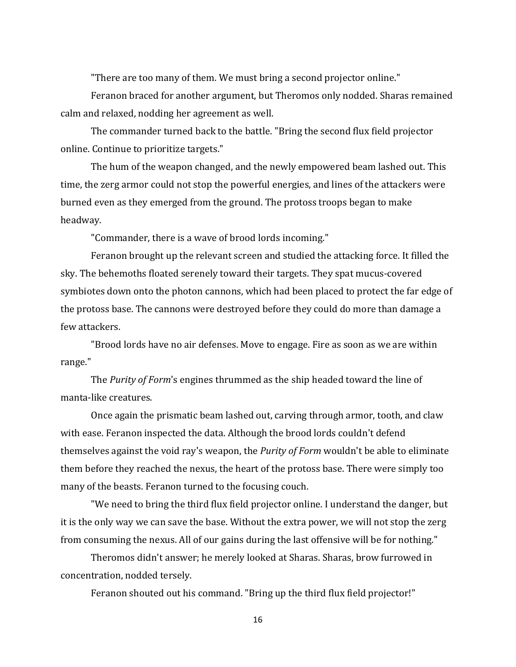"There are too many of them. We must bring a second projector online."

Feranon braced for another argument, but Theromos only nodded. Sharas remained calm and relaxed, nodding her agreement as well.

The commander turned back to the battle. "Bring the second flux field projector online. Continue to prioritize targets."

The hum of the weapon changed, and the newly empowered beam lashed out. This time, the zerg armor could not stop the powerful energies, and lines of the attackers were burned even as they emerged from the ground. The protoss troops began to make headway.

"Commander, there is a wave of brood lords incoming."

Feranon brought up the relevant screen and studied the attacking force. It filled the sky. The behemoths floated serenely toward their targets. They spat mucus-covered symbiotes down onto the photon cannons, which had been placed to protect the far edge of the protoss base. The cannons were destroyed before they could do more than damage a few attackers.

"Brood lords have no air defenses. Move to engage. Fire as soon as we are within range."

The *Purity of Form*'s engines thrummed as the ship headed toward the line of manta-like creatures.

Once again the prismatic beam lashed out, carving through armor, tooth, and claw with ease. Feranon inspected the data. Although the brood lords couldn't defend themselves against the void ray's weapon, the *Purity of Form* wouldn't be able to eliminate them before they reached the nexus, the heart of the protoss base. There were simply too many of the beasts. Feranon turned to the focusing couch.

"We need to bring the third flux field projector online. I understand the danger, but it is the only way we can save the base. Without the extra power, we will not stop the zerg from consuming the nexus. All of our gains during the last offensive will be for nothing."

Theromos didn't answer; he merely looked at Sharas. Sharas, brow furrowed in concentration, nodded tersely.

Feranon shouted out his command. "Bring up the third flux field projector!"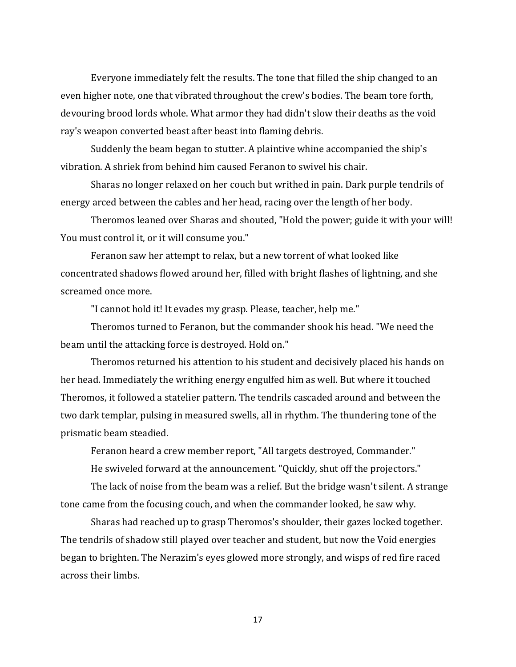Everyone immediately felt the results. The tone that filled the ship changed to an even higher note, one that vibrated throughout the crew's bodies. The beam tore forth, devouring brood lords whole. What armor they had didn't slow their deaths as the void ray's weapon converted beast after beast into flaming debris.

Suddenly the beam began to stutter. A plaintive whine accompanied the ship's vibration. A shriek from behind him caused Feranon to swivel his chair.

Sharas no longer relaxed on her couch but writhed in pain. Dark purple tendrils of energy arced between the cables and her head, racing over the length of her body.

Theromos leaned over Sharas and shouted, "Hold the power; guide it with your will! You must control it, or it will consume you."

Feranon saw her attempt to relax, but a new torrent of what looked like concentrated shadows flowed around her, filled with bright flashes of lightning, and she screamed once more.

"I cannot hold it! It evades my grasp. Please, teacher, help me."

Theromos turned to Feranon, but the commander shook his head. "We need the beam until the attacking force is destroyed. Hold on."

Theromos returned his attention to his student and decisively placed his hands on her head. Immediately the writhing energy engulfed him as well. But where it touched Theromos, it followed a statelier pattern. The tendrils cascaded around and between the two dark templar, pulsing in measured swells, all in rhythm. The thundering tone of the prismatic beam steadied.

Feranon heard a crew member report, "All targets destroyed, Commander."

He swiveled forward at the announcement. "Quickly, shut off the projectors."

The lack of noise from the beam was a relief. But the bridge wasn't silent. A strange tone came from the focusing couch, and when the commander looked, he saw why.

Sharas had reached up to grasp Theromos's shoulder, their gazes locked together. The tendrils of shadow still played over teacher and student, but now the Void energies began to brighten. The Nerazim's eyes glowed more strongly, and wisps of red fire raced across their limbs.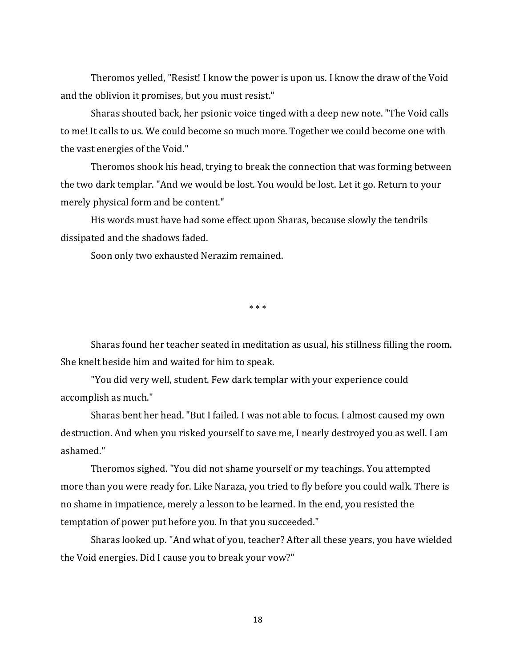Theromos yelled, "Resist! I know the power is upon us. I know the draw of the Void and the oblivion it promises, but you must resist."

Sharas shouted back, her psionic voice tinged with a deep new note. "The Void calls to me! It calls to us. We could become so much more. Together we could become one with the vast energies of the Void."

Theromos shook his head, trying to break the connection that was forming between the two dark templar. "And we would be lost. You would be lost. Let it go. Return to your merely physical form and be content."

His words must have had some effect upon Sharas, because slowly the tendrils dissipated and the shadows faded.

Soon only two exhausted Nerazim remained.

\* \* \*

Sharas found her teacher seated in meditation as usual, his stillness filling the room. She knelt beside him and waited for him to speak.

"You did very well, student. Few dark templar with your experience could accomplish as much."

Sharas bent her head. "But I failed. I was not able to focus. I almost caused my own destruction. And when you risked yourself to save me, I nearly destroyed you as well. I am ashamed."

Theromos sighed. "You did not shame yourself or my teachings. You attempted more than you were ready for. Like Naraza, you tried to fly before you could walk. There is no shame in impatience, merely a lesson to be learned. In the end, you resisted the temptation of power put before you. In that you succeeded."

Sharas looked up. "And what of you, teacher? After all these years, you have wielded the Void energies. Did I cause you to break your vow?"